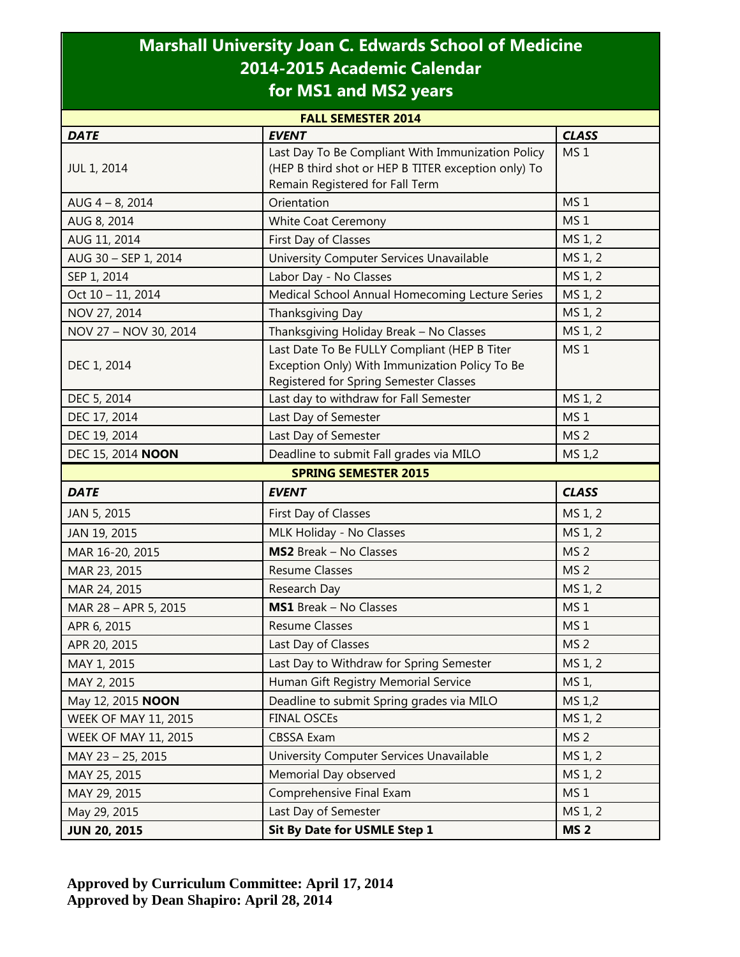## **Marshall University Joan C. Edwards School of Medicine 2014-2015 Academic Calendar for MS1 and MS2 years**

| <b>FALL SEMESTER 2014</b>   |                                                                                                                                             |                 |  |
|-----------------------------|---------------------------------------------------------------------------------------------------------------------------------------------|-----------------|--|
| <b>DATE</b>                 | <b>EVENT</b>                                                                                                                                | <b>CLASS</b>    |  |
| <b>JUL 1, 2014</b>          | Last Day To Be Compliant With Immunization Policy<br>(HEP B third shot or HEP B TITER exception only) To<br>Remain Registered for Fall Term | MS <sub>1</sub> |  |
| $AUG 4 - 8, 2014$           | Orientation                                                                                                                                 | MS <sub>1</sub> |  |
| AUG 8, 2014                 | White Coat Ceremony                                                                                                                         | MS <sub>1</sub> |  |
| AUG 11, 2014                | First Day of Classes                                                                                                                        | MS 1, 2         |  |
| AUG 30 - SEP 1, 2014        | MS 1, 2<br>University Computer Services Unavailable                                                                                         |                 |  |
| SEP 1, 2014                 | MS 1, 2<br>Labor Day - No Classes                                                                                                           |                 |  |
| Oct 10 - 11, 2014           | Medical School Annual Homecoming Lecture Series                                                                                             | MS 1, 2         |  |
| NOV 27, 2014                | <b>Thanksgiving Day</b>                                                                                                                     | MS 1, 2         |  |
| NOV 27 - NOV 30, 2014       | Thanksgiving Holiday Break - No Classes                                                                                                     | MS 1, 2         |  |
| DEC 1, 2014                 | Last Date To Be FULLY Compliant (HEP B Titer<br>Exception Only) With Immunization Policy To Be<br>Registered for Spring Semester Classes    | MS <sub>1</sub> |  |
| DEC 5, 2014                 | Last day to withdraw for Fall Semester                                                                                                      | MS 1, 2         |  |
| DEC 17, 2014                | Last Day of Semester                                                                                                                        | MS <sub>1</sub> |  |
| DEC 19, 2014                | Last Day of Semester                                                                                                                        | MS <sub>2</sub> |  |
| DEC 15, 2014 NOON           | Deadline to submit Fall grades via MILO                                                                                                     | MS 1,2          |  |
| <b>SPRING SEMESTER 2015</b> |                                                                                                                                             |                 |  |
| <b>DATE</b>                 | <b>EVENT</b>                                                                                                                                | <b>CLASS</b>    |  |
| JAN 5, 2015                 | First Day of Classes                                                                                                                        | MS 1, 2         |  |
| JAN 19, 2015                | MLK Holiday - No Classes                                                                                                                    | MS 1, 2         |  |
| MAR 16-20, 2015             | <b>MS2</b> Break - No Classes                                                                                                               | MS <sub>2</sub> |  |
| MAR 23, 2015                | <b>Resume Classes</b>                                                                                                                       | MS <sub>2</sub> |  |
| MAR 24, 2015                | Research Day                                                                                                                                | MS 1, 2         |  |
| MAR 28 - APR 5, 2015        | <b>MS1</b> Break - No Classes                                                                                                               | MS <sub>1</sub> |  |
| APR 6, 2015                 | <b>Resume Classes</b>                                                                                                                       | MS <sub>1</sub> |  |
| APR 20, 2015                | Last Day of Classes                                                                                                                         | MS <sub>2</sub> |  |
| MAY 1, 2015                 | Last Day to Withdraw for Spring Semester                                                                                                    | MS 1, 2         |  |
| MAY 2, 2015                 | Human Gift Registry Memorial Service                                                                                                        | MS 1,           |  |
| May 12, 2015 <b>NOON</b>    | Deadline to submit Spring grades via MILO                                                                                                   | MS 1,2          |  |
| <b>WEEK OF MAY 11, 2015</b> | <b>FINAL OSCEs</b>                                                                                                                          | MS 1, 2         |  |
| <b>WEEK OF MAY 11, 2015</b> | <b>CBSSA Exam</b>                                                                                                                           | MS <sub>2</sub> |  |
| MAY 23 - 25, 2015           | University Computer Services Unavailable                                                                                                    | MS 1, 2         |  |
| MAY 25, 2015                | Memorial Day observed                                                                                                                       | MS 1, 2         |  |
| MAY 29, 2015                | Comprehensive Final Exam                                                                                                                    | MS <sub>1</sub> |  |
| May 29, 2015                | Last Day of Semester                                                                                                                        | MS 1, 2         |  |
| <b>JUN 20, 2015</b>         | Sit By Date for USMLE Step 1                                                                                                                | <b>MS 2</b>     |  |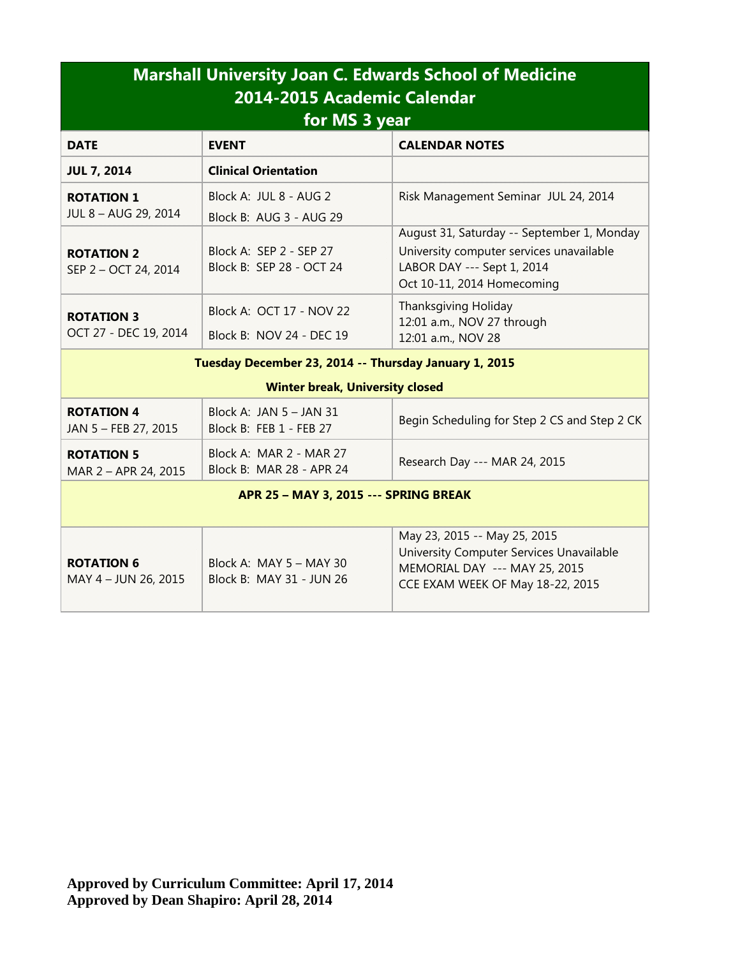| <b>Marshall University Joan C. Edwards School of Medicine</b><br>2014-2015 Academic Calendar<br>for MS 3 year |                                                      |                                                                                                                                                    |  |  |
|---------------------------------------------------------------------------------------------------------------|------------------------------------------------------|----------------------------------------------------------------------------------------------------------------------------------------------------|--|--|
| <b>DATE</b>                                                                                                   | <b>EVENT</b>                                         | <b>CALENDAR NOTES</b>                                                                                                                              |  |  |
| <b>JUL 7, 2014</b>                                                                                            | <b>Clinical Orientation</b>                          |                                                                                                                                                    |  |  |
| <b>ROTATION 1</b><br>JUL 8 - AUG 29, 2014                                                                     | Block A: JUL 8 - AUG 2<br>Block B: AUG 3 - AUG 29    | Risk Management Seminar JUL 24, 2014                                                                                                               |  |  |
| <b>ROTATION 2</b><br>SEP 2 - OCT 24, 2014                                                                     | Block A: SEP 2 - SEP 27<br>Block B: SEP 28 - OCT 24  | August 31, Saturday -- September 1, Monday<br>University computer services unavailable<br>LABOR DAY --- Sept 1, 2014<br>Oct 10-11, 2014 Homecoming |  |  |
| <b>ROTATION 3</b><br>OCT 27 - DEC 19, 2014                                                                    | Block A: OCT 17 - NOV 22<br>Block B: NOV 24 - DEC 19 | <b>Thanksgiving Holiday</b><br>12:01 a.m., NOV 27 through<br>12:01 a.m., NOV 28                                                                    |  |  |
| Tuesday December 23, 2014 -- Thursday January 1, 2015<br><b>Winter break, University closed</b>               |                                                      |                                                                                                                                                    |  |  |
| <b>ROTATION 4</b><br>JAN 5 - FEB 27, 2015                                                                     | Block A: JAN $5 -$ JAN 31<br>Block B: FEB 1 - FEB 27 | Begin Scheduling for Step 2 CS and Step 2 CK                                                                                                       |  |  |
| <b>ROTATION 5</b><br>MAR 2 - APR 24, 2015                                                                     | Block A: MAR 2 - MAR 27<br>Block B: MAR 28 - APR 24  | Research Day --- MAR 24, 2015                                                                                                                      |  |  |
| APR 25 - MAY 3, 2015 --- SPRING BREAK                                                                         |                                                      |                                                                                                                                                    |  |  |
| <b>ROTATION 6</b><br>MAY 4 - JUN 26, 2015                                                                     | Block A: MAY 5 - MAY 30<br>Block B: MAY 31 - JUN 26  | May 23, 2015 -- May 25, 2015<br>University Computer Services Unavailable<br>MEMORIAL DAY --- MAY 25, 2015<br>CCE EXAM WEEK OF May 18-22, 2015      |  |  |